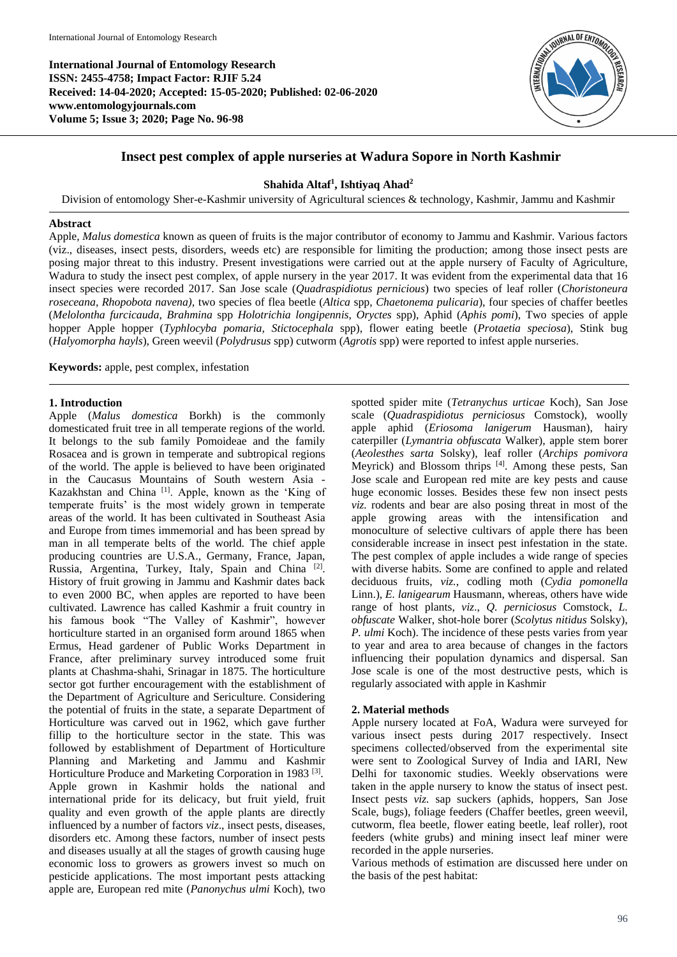**International Journal of Entomology Research ISSN: 2455-4758; Impact Factor: RJIF 5.24 Received: 14-04-2020; Accepted: 15-05-2020; Published: 02-06-2020 www.entomologyjournals.com Volume 5; Issue 3; 2020; Page No. 96-98**



# **Insect pest complex of apple nurseries at Wadura Sopore in North Kashmir**

# **Shahida Altaf<sup>1</sup> , Ishtiyaq Ahad<sup>2</sup>**

Division of entomology Sher-e-Kashmir university of Agricultural sciences & technology, Kashmir, Jammu and Kashmir

# **Abstract**

Apple, *Malus domestica* known as queen of fruits is the major contributor of economy to Jammu and Kashmir. Various factors (viz., diseases, insect pests, disorders, weeds etc) are responsible for limiting the production; among those insect pests are posing major threat to this industry. Present investigations were carried out at the apple nursery of Faculty of Agriculture, Wadura to study the insect pest complex, of apple nursery in the year 2017. It was evident from the experimental data that 16 insect species were recorded 2017. San Jose scale (*Quadraspidiotus pernicious*) two species of leaf roller (*Choristoneura roseceana, Rhopobota navena),* two species of flea beetle (*Altica* spp, *Chaetonema pulicaria*), four species of chaffer beetles (*Melolontha furcicauda*, *Brahmina* spp *Holotrichia longipennis*, *Oryctes* spp), Aphid (*Aphis pomi*), Two species of apple hopper Apple hopper (*Typhlocyba pomaria, Stictocephala* spp), flower eating beetle (*Protaetia speciosa*), Stink bug (*Halyomorpha hayls*), Green weevil (*Polydrusus* spp) cutworm (*Agrotis* spp) were reported to infest apple nurseries.

**Keywords:** apple, pest complex, infestation

# **1. Introduction**

Apple (*Malus domestica* Borkh) is the commonly domesticated fruit tree in all temperate regions of the world. It belongs to the sub family Pomoideae and the family Rosacea and is grown in temperate and subtropical regions of the world. The apple is believed to have been originated in the Caucasus Mountains of South western Asia - Kazakhstan and China [1]. Apple, known as the 'King of temperate fruits' is the most widely grown in temperate areas of the world. It has been cultivated in Southeast Asia and Europe from times immemorial and has been spread by man in all temperate belts of the world. The chief apple producing countries are U.S.A., Germany, France, Japan, Russia, Argentina, Turkey, Italy, Spain and China <sup>[2]</sup>. History of fruit growing in Jammu and Kashmir dates back to even 2000 BC, when apples are reported to have been cultivated. Lawrence has called Kashmir a fruit country in his famous book "The Valley of Kashmir", however horticulture started in an organised form around 1865 when Ermus, Head gardener of Public Works Department in France, after preliminary survey introduced some fruit plants at Chashma-shahi, Srinagar in 1875. The horticulture sector got further encouragement with the establishment of the Department of Agriculture and Sericulture. Considering the potential of fruits in the state, a separate Department of Horticulture was carved out in 1962, which gave further fillip to the horticulture sector in the state. This was followed by establishment of Department of Horticulture Planning and Marketing and Jammu and Kashmir Horticulture Produce and Marketing Corporation in 1983<sup>[3]</sup>. Apple grown in Kashmir holds the national and international pride for its delicacy, but fruit yield, fruit quality and even growth of the apple plants are directly influenced by a number of factors *viz*., insect pests, diseases, disorders etc. Among these factors, number of insect pests and diseases usually at all the stages of growth causing huge economic loss to growers as growers invest so much on pesticide applications. The most important pests attacking apple are, European red mite (*Panonychus ulmi* Koch), two

spotted spider mite (*Tetranychus urticae* Koch), San Jose scale (*Quadraspidiotus perniciosus* Comstock), woolly apple aphid (*Eriosoma lanigerum* Hausman), hairy caterpiller (*Lymantria obfuscata* Walker), apple stem borer (*Aeolesthes sarta* Solsky), leaf roller (*Archips pomivora* Meyrick) and Blossom thrips [4]. Among these pests, San Jose scale and European red mite are key pests and cause huge economic losses. Besides these few non insect pests *viz.* rodents and bear are also posing threat in most of the apple growing areas with the intensification and monoculture of selective cultivars of apple there has been considerable increase in insect pest infestation in the state. The pest complex of apple includes a wide range of species with diverse habits. Some are confined to apple and related deciduous fruits, *viz.*, codling moth (*Cydia pomonella* Linn.), *E. lanigearum* Hausmann, whereas, others have wide range of host plants, *viz*., *Q. perniciosus* Comstock, *L. obfuscate* Walker, shot-hole borer (*Scolytus nitidus* Solsky), *P. ulmi* Koch). The incidence of these pests varies from year to year and area to area because of changes in the factors influencing their population dynamics and dispersal. San Jose scale is one of the most destructive pests, which is regularly associated with apple in Kashmir

# **2. Material methods**

Apple nursery located at FoA, Wadura were surveyed for various insect pests during 2017 respectively. Insect specimens collected/observed from the experimental site were sent to Zoological Survey of India and IARI, New Delhi for taxonomic studies. Weekly observations were taken in the apple nursery to know the status of insect pest. Insect pests *viz.* sap suckers (aphids, hoppers, San Jose Scale, bugs), foliage feeders (Chaffer beetles, green weevil, cutworm, flea beetle, flower eating beetle, leaf roller), root feeders (white grubs) and mining insect leaf miner were recorded in the apple nurseries.

Various methods of estimation are discussed here under on the basis of the pest habitat: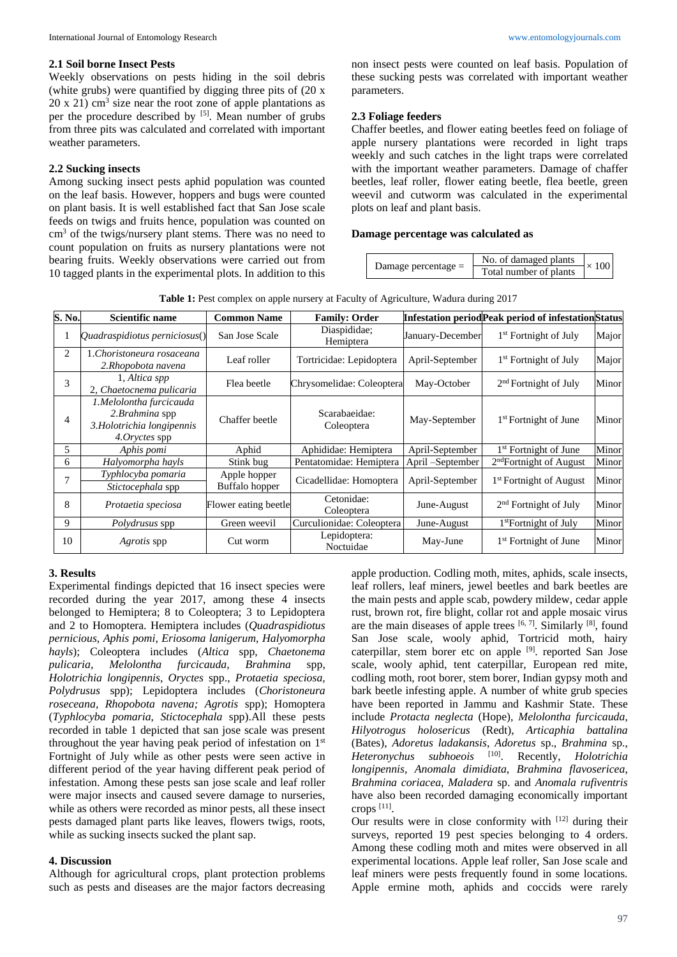#### **2.1 Soil borne Insect Pests**

Weekly observations on pests hiding in the soil debris (white grubs) were quantified by digging three pits of (20 x  $20 \times 21$ ) cm<sup>3</sup> size near the root zone of apple plantations as per the procedure described by  $[5]$ . Mean number of grubs from three pits was calculated and correlated with important weather parameters.

### **2.2 Sucking insects**

Among sucking insect pests aphid population was counted on the leaf basis. However, hoppers and bugs were counted on plant basis. It is well established fact that San Jose scale feeds on twigs and fruits hence, population was counted on cm<sup>3</sup> of the twigs/nursery plant stems. There was no need to count population on fruits as nursery plantations were not bearing fruits. Weekly observations were carried out from 10 tagged plants in the experimental plots. In addition to this

non insect pests were counted on leaf basis. Population of these sucking pests was correlated with important weather parameters.

#### **2.3 Foliage feeders**

Chaffer beetles, and flower eating beetles feed on foliage of apple nursery plantations were recorded in light traps weekly and such catches in the light traps were correlated with the important weather parameters. Damage of chaffer beetles, leaf roller, flower eating beetle, flea beetle, green weevil and cutworm was calculated in the experimental plots on leaf and plant basis.

#### **Damage percentage was calculated as**

| Damage percentage $=$ | No. of damaged plants  | $\times$ 100 |
|-----------------------|------------------------|--------------|
|                       | Total number of plants |              |

**Table 1:** Pest complex on apple nursery at Faculty of Agriculture, Wadura during 2017

| S. No. | Scientific name                                                                                   | <b>Common Name</b>             | <b>Family: Order</b>        |                   | <b>Infestation period Peak period of infestation Status</b> |       |
|--------|---------------------------------------------------------------------------------------------------|--------------------------------|-----------------------------|-------------------|-------------------------------------------------------------|-------|
|        | Quadraspidiotus perniciosus()                                                                     | San Jose Scale                 | Diaspididae;<br>Hemiptera   | January-December  | 1 <sup>st</sup> Fortnight of July                           | Major |
| 2      | 1.Choristoneura rosaceana<br>2.Rhopobota navena                                                   | Leaf roller                    | Tortricidae: Lepidoptera    | April-September   | 1 <sup>st</sup> Fortnight of July                           | Major |
| 3      | 1, Altica spp<br>2, Chaetocnema pulicaria                                                         | Flea beetle                    | Chrysomelidae: Coleoptera   | May-October       | $2nd$ Fortnight of July                                     | Minor |
| 4      | 1.Melolontha furcicauda<br>2. <i>Brahmina</i> spp<br>3. Holotrichia longipennis<br>4. Oryctes spp | Chaffer beetle                 | Scarabaeidae:<br>Coleoptera | May-September     | 1 <sup>st</sup> Fortnight of June                           | Minor |
| 5.     | Aphis pomi                                                                                        | Aphid                          | Aphididae: Hemiptera        | April-September   | 1 <sup>st</sup> Fortnight of June                           | Minor |
| 6      | Halyomorpha hayls                                                                                 | Stink bug                      | Pentatomidae: Hemiptera     | April – September | $2nd$ Fortnight of August                                   | Minor |
| 7      | Typhlocyba pomaria<br>Stictocephala spp                                                           | Apple hopper<br>Buffalo hopper | Cicadellidae: Homoptera     | April-September   | 1 <sup>st</sup> Fortnight of August                         | Minor |
| 8      | Protaetia speciosa                                                                                | Flower eating beetle           | Cetonidae:<br>Coleoptera    | June-August       | $2nd$ Fortnight of July                                     | Minor |
| 9      | <i>Polydrusus</i> spp                                                                             | Green weevil                   | Curculionidae: Coleoptera   | June-August       | 1 <sup>st</sup> Fortnight of July                           | Minor |
| 10     | <i>Agrotis</i> spp                                                                                | Cut worm                       | Lepidoptera:<br>Noctuidae   | May-June          | 1 <sup>st</sup> Fortnight of June                           | Minor |

### **3. Results**

Experimental findings depicted that 16 insect species were recorded during the year 2017, among these 4 insects belonged to Hemiptera; 8 to Coleoptera; 3 to Lepidoptera and 2 to Homoptera. Hemiptera includes (*Quadraspidiotus pernicious*, *Aphis pomi*, *Eriosoma lanigerum*, *Halyomorpha hayls*); Coleoptera includes (*Altica* spp, *Chaetonema pulicaria*, *Melolontha furcicauda*, *Brahmina* spp, *Holotrichia longipennis*, *Oryctes* spp., *Protaetia speciosa, Polydrusus* spp); Lepidoptera includes (*Choristoneura roseceana, Rhopobota navena; Agrotis* spp); Homoptera (*Typhlocyba pomaria*, *Stictocephala* spp).All these pests recorded in table 1 depicted that san jose scale was present throughout the year having peak period of infestation on 1<sup>st</sup> Fortnight of July while as other pests were seen active in different period of the year having different peak period of infestation. Among these pests san jose scale and leaf roller were major insects and caused severe damage to nurseries, while as others were recorded as minor pests, all these insect pests damaged plant parts like leaves, flowers twigs, roots, while as sucking insects sucked the plant sap.

#### **4. Discussion**

Although for agricultural crops, plant protection problems such as pests and diseases are the major factors decreasing

apple production. Codling moth, mites, aphids, scale insects, leaf rollers, leaf miners, jewel beetles and bark beetles are the main pests and apple scab, powdery mildew, cedar apple rust, brown rot, fire blight, collar rot and apple mosaic virus are the main diseases of apple trees  $[6, 7]$ . Similarly  $[8]$ , found San Jose scale, wooly aphid, Tortricid moth, hairy caterpillar, stem borer etc on apple <sup>[9]</sup>. reported San Jose scale, wooly aphid, tent caterpillar, European red mite, codling moth, root borer, stem borer, Indian gypsy moth and bark beetle infesting apple. A number of white grub species have been reported in Jammu and Kashmir State. These include *Protacta neglecta* (Hope), *Melolontha furcicauda*, *Hilyotrogus holosericus* (Redt), *Articaphia battalina* (Bates), *Adoretus ladakansis*, *Adoretus* sp., *Brahmina* sp., *Heteronychus subhoeois* . Recently, *Holotrichia longipennis*, *Anomala dimidiata*, *Brahmina flavosericea*, *Brahmina coriacea*, *Maladera* sp. and *Anomala rufiventris* have also been recorded damaging economically important crops [11] .

Our results were in close conformity with [12] during their surveys, reported 19 pest species belonging to 4 orders. Among these codling moth and mites were observed in all experimental locations. Apple leaf roller, San Jose scale and leaf miners were pests frequently found in some locations. Apple ermine moth, aphids and coccids were rarely